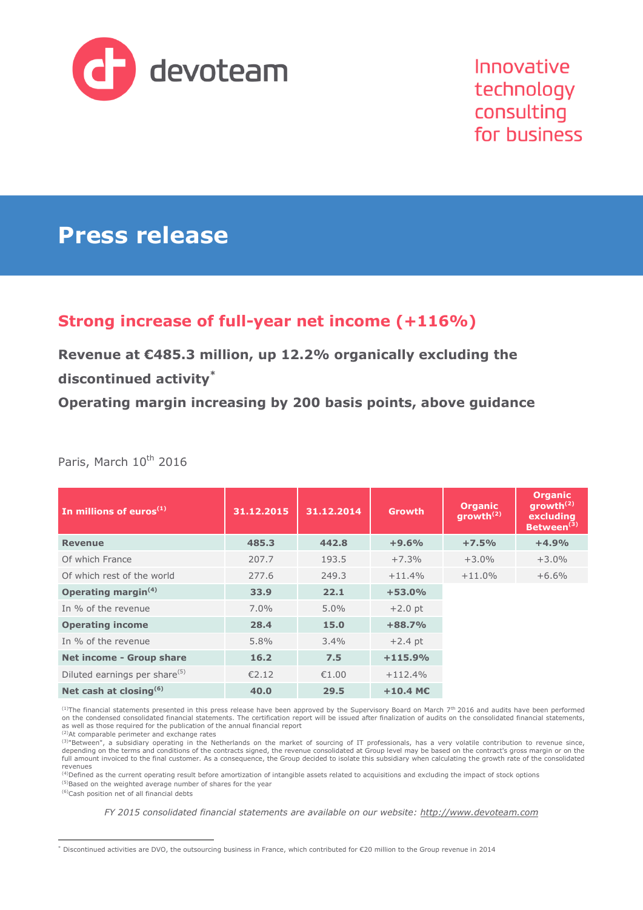

Innovative technology consulting for business

# **Press release**

# **Strong increase of full-year net income (+116%)**

**Revenue at €485.3 million, up 12.2% organically excluding the discontinued activity\***

**Operating margin increasing by 200 basis points, above guidance**

| In millions of euros $(1)$                | 31.12.2015 | 31.12.2014 | Growth                 | <b>Organic</b><br>growth <sup>(2)</sup> | <b>Organic</b><br>growth $(2)$<br>excluding<br>Between <sup>(3)</sup> |
|-------------------------------------------|------------|------------|------------------------|-----------------------------------------|-----------------------------------------------------------------------|
| <b>Revenue</b>                            | 485.3      | 442.8      | $+9.6%$                | $+7.5%$                                 | $+4.9%$                                                               |
| Of which France                           | 207.7      | 193.5      | $+7.3%$                | $+3.0%$                                 | $+3.0%$                                                               |
| Of which rest of the world                | 277.6      | 249.3      | $+11.4%$               | $+11.0%$                                | $+6.6%$                                                               |
| Operating margin <sup>(4)</sup>           | 33.9       | 22.1       | $+53.0%$               |                                         |                                                                       |
| In % of the revenue                       | $7.0\%$    | $5.0\%$    | $+2.0$ pt              |                                         |                                                                       |
| <b>Operating income</b>                   | 28.4       | 15.0       | $+88.7%$               |                                         |                                                                       |
| In % of the revenue                       | 5.8%       | $3.4\%$    | $+2.4$ pt              |                                         |                                                                       |
| Net income - Group share                  | 16.2       | 7.5        | $+115.9%$              |                                         |                                                                       |
| Diluted earnings per share <sup>(5)</sup> | €2.12      | €1.00      | $+112.4%$              |                                         |                                                                       |
| Net cash at closing <sup>(6)</sup>        | 40.0       | 29.5       | $+10.4$ M <sub>C</sub> |                                         |                                                                       |

Paris, March 10<sup>th</sup> 2016

<sup>(1)</sup>The financial statements presented in this press release have been approved by the Supervisory Board on March 7<sup>th</sup> 2016 and audits have been performed on the condensed consolidated financial statements. The certification report will be issued after finalization of audits on the consolidated financial statements, as well as those required for the publication of the annual financial report

(2)At comparable perimeter and exchange rates

(3) Between", a subsidiary operating in the Netherlands on the market of sourcing of IT professionals, has a very volatile contribution to revenue since, depending on the terms and conditions of the contracts signed, the revenue consolidated at Group level may be based on the contract's gross margin or on the<br>full amount invoiced to the final customer. As a consequence, the revenues<br><sup>(4)</sup>Defined as the current operating result before amortization of intangible assets related to acquisitions and excluding the impact of stock options

<sup>(5)</sup>Based on the weighted average number of shares for the year

(6)Cash position net of all financial debts

*FY 2015 consolidated financial statements are available on our website: [http://www.devoteam.com](http://www.devoteam.com/)*

 $\overline{a}$ Discontinued activities are DVO, the outsourcing business in France, which contributed for €20 million to the Group revenue in 2014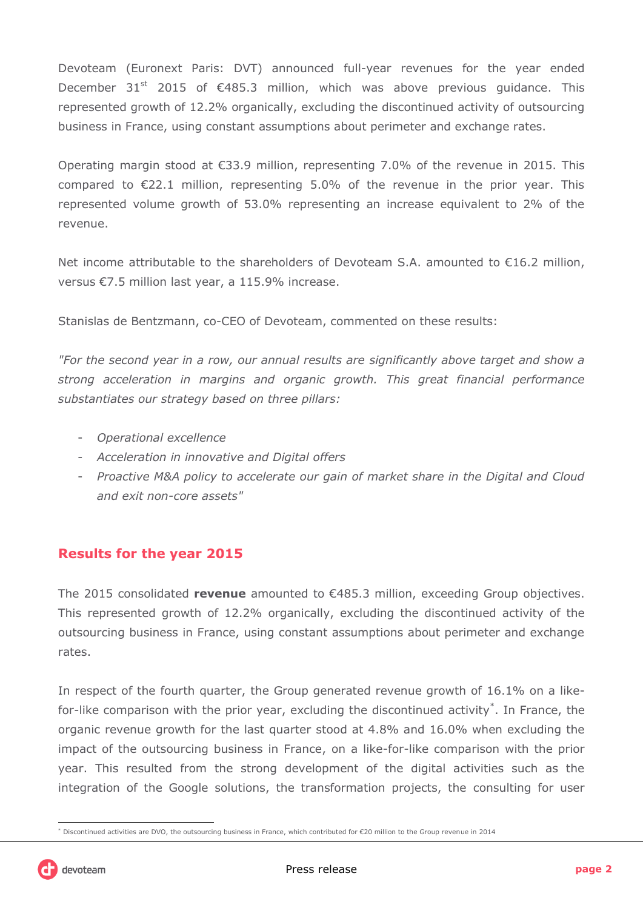Devoteam (Euronext Paris: DVT) announced full-year revenues for the year ended December 31<sup>st</sup> 2015 of  $\epsilon$ 485.3 million, which was above previous guidance. This represented growth of 12.2% organically, excluding the discontinued activity of outsourcing business in France, using constant assumptions about perimeter and exchange rates.

Operating margin stood at €33.9 million, representing 7.0% of the revenue in 2015. This compared to  $E$ 22.1 million, representing 5.0% of the revenue in the prior year. This represented volume growth of 53.0% representing an increase equivalent to 2% of the revenue.

Net income attributable to the shareholders of Devoteam S.A. amounted to  $\epsilon$ 16.2 million, versus €7.5 million last year, a 115.9% increase.

Stanislas de Bentzmann, co-CEO of Devoteam, commented on these results:

*"For the second year in a row, our annual results are significantly above target and show a strong acceleration in margins and organic growth. This great financial performance substantiates our strategy based on three pillars:*

- *Operational excellence*
- *Acceleration in innovative and Digital offers*
- *Proactive M&A policy to accelerate our gain of market share in the Digital and Cloud and exit non-core assets"*

### **Results for the year 2015**

The 2015 consolidated **revenue** amounted to €485.3 million, exceeding Group objectives. This represented growth of 12.2% organically, excluding the discontinued activity of the outsourcing business in France, using constant assumptions about perimeter and exchange rates.

In respect of the fourth quarter, the Group generated revenue growth of 16.1% on a likefor-like comparison with the prior year, excluding the discontinued activity<sup>\*</sup>. In France, the organic revenue growth for the last quarter stood at 4.8% and 16.0% when excluding the impact of the outsourcing business in France, on a like-for-like comparison with the prior year. This resulted from the strong development of the digital activities such as the integration of the Google solutions, the transformation projects, the consulting for user

 $\overline{a}$ Discontinued activities are DVO, the outsourcing business in France, which contributed for €20 million to the Group revenue in 2014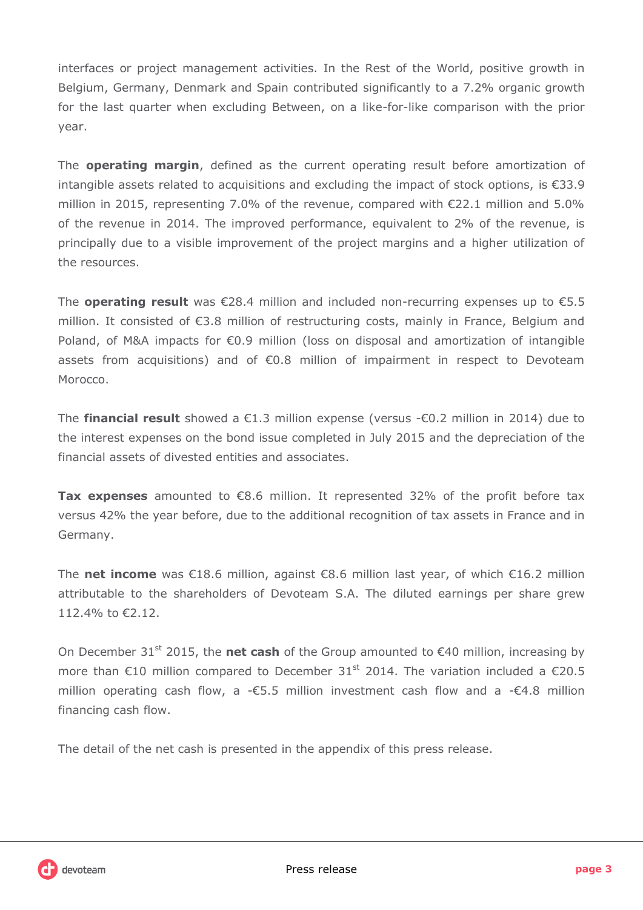interfaces or project management activities. In the Rest of the World, positive growth in Belgium, Germany, Denmark and Spain contributed significantly to a 7.2% organic growth for the last quarter when excluding Between, on a like-for-like comparison with the prior year.

The **operating margin**, defined as the current operating result before amortization of intangible assets related to acquisitions and excluding the impact of stock options, is €33.9 million in 2015, representing 7.0% of the revenue, compared with €22.1 million and 5.0% of the revenue in 2014. The improved performance, equivalent to 2% of the revenue, is principally due to a visible improvement of the project margins and a higher utilization of the resources.

The **operating result** was €28.4 million and included non-recurring expenses up to €5.5 million. It consisted of €3.8 million of restructuring costs, mainly in France, Belgium and Poland, of M&A impacts for €0.9 million (loss on disposal and amortization of intangible assets from acquisitions) and of €0.8 million of impairment in respect to Devoteam Morocco.

The **financial result** showed a €1.3 million expense (versus -€0.2 million in 2014) due to the interest expenses on the bond issue completed in July 2015 and the depreciation of the financial assets of divested entities and associates.

**Tax expenses** amounted to €8.6 million. It represented 32% of the profit before tax versus 42% the year before, due to the additional recognition of tax assets in France and in Germany.

The **net income** was €18.6 million, against €8.6 million last year, of which €16.2 million attributable to the shareholders of Devoteam S.A. The diluted earnings per share grew 112.4% to €2.12.

On December 31<sup>st</sup> 2015, the **net cash** of the Group amounted to  $\epsilon$ 40 million, increasing by more than  $\epsilon$ 10 million compared to December 31<sup>st</sup> 2014. The variation included a  $\epsilon$ 20.5 million operating cash flow, a -€5.5 million investment cash flow and a -€4.8 million financing cash flow.

The detail of the net cash is presented in the appendix of this press release.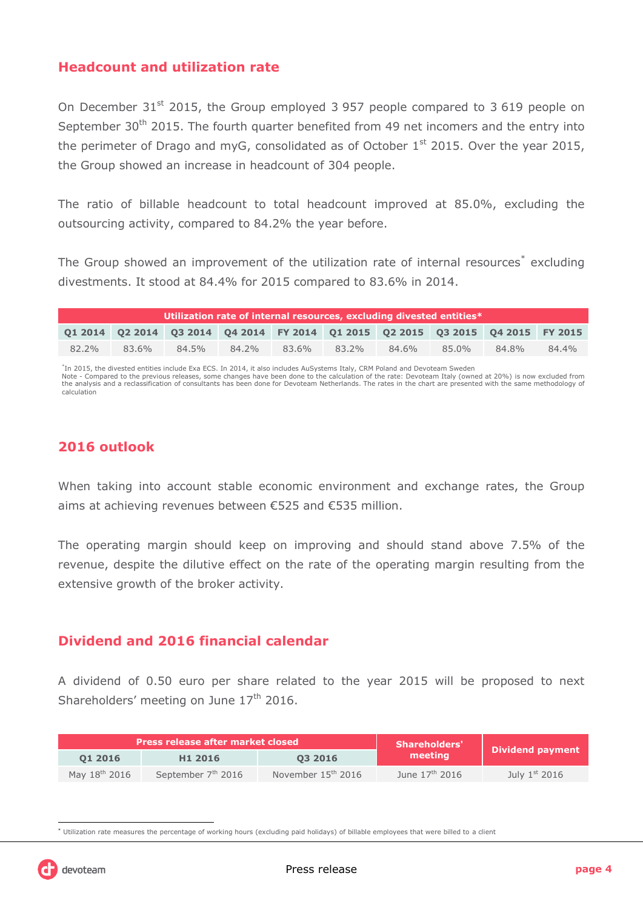### **Headcount and utilization rate**

On December 31<sup>st</sup> 2015, the Group employed 3 957 people compared to 3 619 people on September 30<sup>th</sup> 2015. The fourth quarter benefited from 49 net incomers and the entry into the perimeter of Drago and myG, consolidated as of October  $1<sup>st</sup>$  2015. Over the year 2015, the Group showed an increase in headcount of 304 people.

The ratio of billable headcount to total headcount improved at 85.0%, excluding the outsourcing activity, compared to 84.2% the year before.

The Group showed an improvement of the utilization rate of internal resources<sup>\*</sup> excluding divestments. It stood at 84.4% for 2015 compared to 83.6% in 2014.

| $\,$ Utilization rate of internal resources, excluding divested entities $^*$ $\,$ |       |       |       |       |                                                                                 |       |       |       |       |
|------------------------------------------------------------------------------------|-------|-------|-------|-------|---------------------------------------------------------------------------------|-------|-------|-------|-------|
|                                                                                    |       |       |       |       | 01 2014 02 2014 03 2014 04 2014 FY 2014 01 2015 02 2015 03 2015 04 2015 FY 2015 |       |       |       |       |
| 82.2%                                                                              | 83.6% | 84.5% | 84.2% | 83.6% | $83.2\%$                                                                        | 84.6% | 85.0% | 84.8% | 84.4% |

\*In 2015, the divested entities include Exa ECS. In 2014, it also includes AuSystems Italy, CRM Poland and Devoteam Sweden<br>Note - Compared to the previous releases, some changes have been done to the calculation of the rat

the analysis and a reclassification of consultants has been done for Devoteam Netherlands. The rates in the chart are presented with the same methodology of calculation

# **2016 outlook**

When taking into account stable economic environment and exchange rates, the Group aims at achieving revenues between €525 and €535 million.

The operating margin should keep on improving and should stand above 7.5% of the revenue, despite the dilutive effect on the rate of the operating margin resulting from the extensive growth of the broker activity.

### **Dividend and 2016 financial calendar**

A dividend of 0.50 euro per share related to the year 2015 will be proposed to next Shareholders' meeting on June  $17<sup>th</sup>$  2016.

|                           | <b>Press release after market closed</b> |                      | <b>Shareholders'</b>       | Dividend payment |
|---------------------------|------------------------------------------|----------------------|----------------------------|------------------|
| 01 2016                   | H <sub>1</sub> 2016                      | 03 2016              | meeting                    |                  |
| May 18 <sup>th</sup> 2016 | September 7 <sup>th</sup> 2016           | November $15th$ 2016 | June $17^{\text{th}}$ 2016 | July $1st$ 2016  |

 \* Utilization rate measures the percentage of working hours (excluding paid holidays) of billable employees that were billed to a client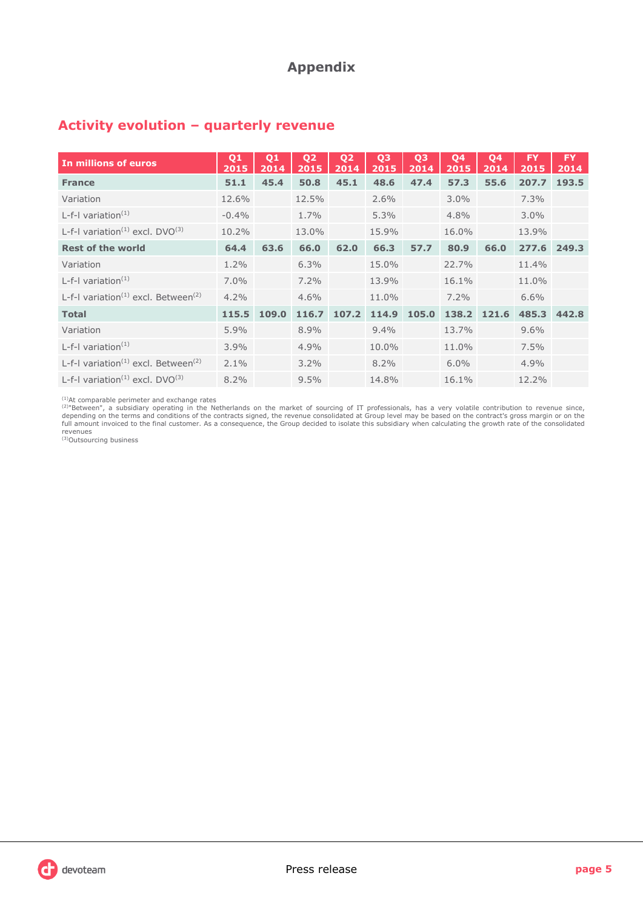# **Appendix**

| In millions of euros                                        | Q <sub>1</sub><br>2015 | Q <sub>1</sub><br>2014 | Q <sub>2</sub><br>2015 | Q <sub>2</sub><br>2014 | Q <sub>3</sub><br>2015 | Q <sub>3</sub><br>2014 | Q4<br>2015 | Q <sub>4</sub><br>2014 | <b>FY</b><br>2015 | <b>FY</b><br>2014 |
|-------------------------------------------------------------|------------------------|------------------------|------------------------|------------------------|------------------------|------------------------|------------|------------------------|-------------------|-------------------|
| <b>France</b>                                               | 51.1                   | 45.4                   | 50.8                   | 45.1                   | 48.6                   | 47.4                   | 57.3       | 55.6                   | 207.7             | 193.5             |
| Variation                                                   | 12.6%                  |                        | 12.5%                  |                        | $2.6\%$                |                        | $3.0\%$    |                        | 7.3%              |                   |
| L-f-I variation $(1)$                                       | $-0.4%$                |                        | 1.7%                   |                        | $5.3\%$                |                        | 4.8%       |                        | $3.0\%$           |                   |
| L-f-I variation <sup>(1)</sup> excl. $DVO^{(3)}$            | 10.2%                  |                        | 13.0%                  |                        | 15.9%                  |                        | 16.0%      |                        | 13.9%             |                   |
| <b>Rest of the world</b>                                    | 64.4                   | 63.6                   | 66.0                   | 62.0                   | 66.3                   | 57.7                   | 80.9       | 66.0                   | 277.6             | 249.3             |
| Variation                                                   | $1.2\%$                |                        | 6.3%                   |                        | 15.0%                  |                        | 22.7%      |                        | 11.4%             |                   |
| L-f-I variation $(1)$                                       | $7.0\%$                |                        | $7.2\%$                |                        | 13.9%                  |                        | 16.1%      |                        | 11.0%             |                   |
| L-f-I variation <sup>(1)</sup> excl. Between <sup>(2)</sup> | 4.2%                   |                        | 4.6%                   |                        | 11.0%                  |                        | 7.2%       |                        | $6.6\%$           |                   |
| <b>Total</b>                                                | 115.5                  | 109.0                  | 116.7                  | 107.2                  | 114.9                  | 105.0                  | 138.2      | 121.6                  | 485.3             | 442.8             |
| Variation                                                   | 5.9%                   |                        | 8.9%                   |                        | $9.4\%$                |                        | 13.7%      |                        | 9.6%              |                   |
| L-f-I variation $(1)$                                       | 3.9%                   |                        | 4.9%                   |                        | 10.0%                  |                        | 11.0%      |                        | 7.5%              |                   |
| L-f-I variation <sup>(1)</sup> excl. Between <sup>(2)</sup> | $2.1\%$                |                        | $3.2\%$                |                        | 8.2%                   |                        | 6.0%       |                        | 4.9%              |                   |
| L-f-I variation <sup>(1)</sup> excl. $DVO^{(3)}$            | $8.2\%$                |                        | 9.5%                   |                        | 14.8%                  |                        | 16.1%      |                        | 12.2%             |                   |

# **Activity evolution – quarterly revenue**

<sup>(1)</sup>At comparable perimeter and exchange rates<br><sup>(2)</sup>"Between", a subsidiary operating in the Netherlands on the market of sourcing of IT professionals, has a very volatile contribution to revenue since,<br>depending on the t revenues (3)Outsourcing business

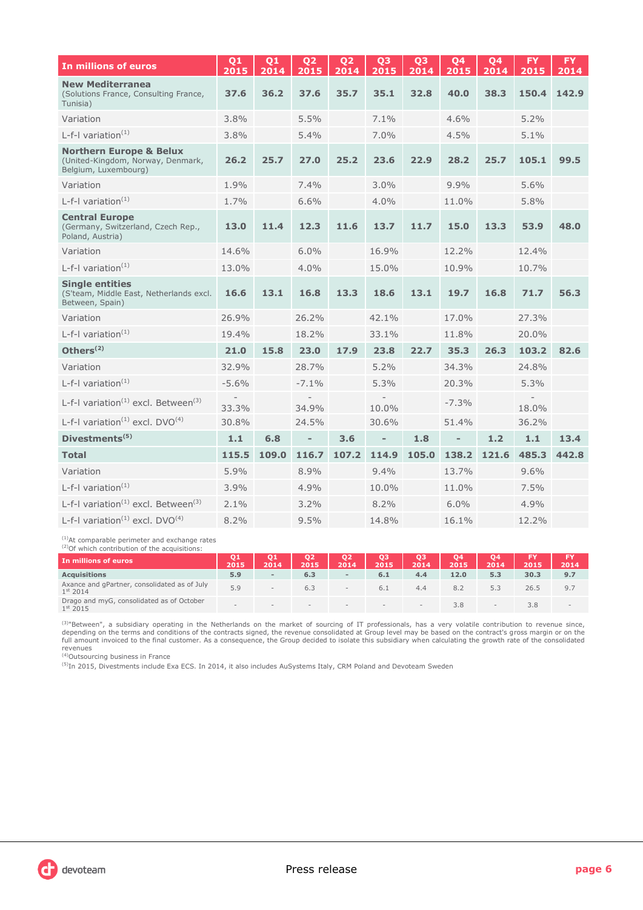| In millions of euros                                                                            | 01<br>2015 | 01<br>2014 | 02<br>2015               | 02<br>2014 | 03<br>2015               | 03<br>2014 | 04<br>2015     | 04<br>2014 | <b>FY</b><br>2015 | <b>FY</b><br>2014 |
|-------------------------------------------------------------------------------------------------|------------|------------|--------------------------|------------|--------------------------|------------|----------------|------------|-------------------|-------------------|
| <b>New Mediterranea</b><br>(Solutions France, Consulting France,<br>Tunisia)                    | 37.6       | 36.2       | 37.6                     | 35.7       | 35.1                     | 32.8       | 40.0           | 38.3       | 150.4             | 142.9             |
| Variation                                                                                       | 3.8%       |            | 5.5%                     |            | $7.1\%$                  |            | 4.6%           |            | 5.2%              |                   |
| L-f-I variation <sup>(1)</sup>                                                                  | 3.8%       |            | 5.4%                     |            | 7.0%                     |            | 4.5%           |            | 5.1%              |                   |
| <b>Northern Europe &amp; Belux</b><br>(United-Kingdom, Norway, Denmark,<br>Belgium, Luxembourg) | 26.2       | 25.7       | 27.0                     | 25.2       | 23.6                     | 22.9       | 28.2           | 25.7       | 105.1             | 99.5              |
| Variation                                                                                       | 1.9%       |            | 7.4%                     |            | 3.0%                     |            | 9.9%           |            | 5.6%              |                   |
| L-f-I variation $(1)$                                                                           | 1.7%       |            | 6.6%                     |            | $4.0\%$                  |            | 11.0%          |            | 5.8%              |                   |
| <b>Central Europe</b><br>(Germany, Switzerland, Czech Rep.,<br>Poland, Austria)                 | 13.0       | 11.4       | 12.3                     | 11.6       | 13.7                     | 11.7       | 15.0           | 13.3       | 53.9              | 48.0              |
| Variation                                                                                       | 14.6%      |            | 6.0%                     |            | 16.9%                    |            | 12.2%          |            | 12.4%             |                   |
| L-f-I variation $(1)$                                                                           | 13.0%      |            | 4.0%                     |            | 15.0%                    |            | 10.9%          |            | 10.7%             |                   |
| <b>Single entities</b><br>(S'team, Middle East, Netherlands excl.<br>Between, Spain)            | 16.6       | 13.1       | 16.8                     | 13.3       | 18.6                     | 13.1       | 19.7           | 16.8       | 71.7              | 56.3              |
| Variation                                                                                       | 26.9%      |            | 26.2%                    |            | 42.1%                    |            | 17.0%          |            | 27.3%             |                   |
| L-f-I variation <sup>(1)</sup>                                                                  | 19.4%      |            | 18.2%                    |            | 33.1%                    |            | 11.8%          |            | 20.0%             |                   |
| Others $(2)$                                                                                    | 21.0       | 15.8       | 23.0                     | 17.9       | 23.8                     | 22.7       | 35.3           | 26.3       | 103.2             | 82.6              |
| Variation                                                                                       | 32.9%      |            | 28.7%                    |            | 5.2%                     |            | 34.3%          |            | 24.8%             |                   |
| L-f-I variation $(1)$                                                                           | $-5.6%$    |            | $-7.1%$                  |            | 5.3%                     |            | 20.3%          |            | 5.3%              |                   |
| L-f-I variation <sup>(1)</sup> excl. Between <sup>(3)</sup>                                     | 33.3%      |            | 34.9%                    |            | 10.0%                    |            | $-7.3%$        |            | 18.0%             |                   |
| L-f-I variation <sup>(1)</sup> excl. DVO <sup>(4)</sup>                                         | 30.8%      |            | 24.5%                    |            | 30.6%                    |            | 51.4%          |            | 36.2%             |                   |
| Divestments <sup>(5)</sup>                                                                      | 1.1        | 6.8        | $\overline{\phantom{a}}$ | 3.6        | $\overline{\phantom{a}}$ | 1.8        | $\overline{a}$ | 1.2        | 1.1               | 13.4              |
| <b>Total</b>                                                                                    | 115.5      | 109.0      | 116.7                    | 107.2      | 114.9                    | 105.0      | 138.2          | 121.6      | 485.3             | 442.8             |
| Variation                                                                                       | 5.9%       |            | 8.9%                     |            | $9.4\%$                  |            | 13.7%          |            | 9.6%              |                   |
| L-f-I variation $(1)$                                                                           | 3.9%       |            | 4.9%                     |            | 10.0%                    |            | 11.0%          |            | 7.5%              |                   |
| L-f-I variation <sup>(1)</sup> excl. Between <sup>(3)</sup>                                     | 2.1%       |            | 3.2%                     |            | 8.2%                     |            | 6.0%           |            | 4.9%              |                   |
| L-f-I variation <sup>(1)</sup> excl. DVO <sup>(4)</sup>                                         | 8.2%       |            | 9.5%                     |            | 14.8%                    |            | 16.1%          |            | 12.2%             |                   |

<sup>(1)</sup>At comparable perimeter and exchange rates  $(2)$ Of which contribution of the acquisitions:

| Or which contribution of the acquisitions:                           |        |        |                          |                          |            |            |            |            |      |      |
|----------------------------------------------------------------------|--------|--------|--------------------------|--------------------------|------------|------------|------------|------------|------|------|
| In millions of euros                                                 | 2015   | 2014   | Q <sub>2</sub><br>2015   | Q2<br>2014               | Q3<br>2015 | QЗ<br>2014 | Q4<br>2015 | Q4<br>2014 | 2015 | 2014 |
| <b>Acquisitions</b>                                                  | 5.9    | $\sim$ | 6.3                      | $\overline{\phantom{a}}$ | 6.1        | 4.4        | 12.0       | 5.3        | 30.3 | 9.7  |
| Axance and gPartner, consolidated as of July<br>1 <sup>st</sup> 2014 | 5.9    |        | 6.3                      | $\sim$                   | 6.1        | 4.4        | 8.2        | 5.3        | 26.5 | 9.7  |
| Drago and myG, consolidated as of October<br>$1^{st}$ 2015           | $\sim$ | $\sim$ | $\overline{\phantom{a}}$ | $\sim$                   |            | $\sim$     | 3.8        | $\equiv$   | 3.8  |      |

<sup>(3)</sup>"Between", a subsidiary operating in the Netherlands on the market of sourcing of IT professionals, has a very volatile contribution to revenue since,<br>depending on the terms and conditions of the contracts signed, the revenues (4)Outsourcing business in France

<sup>(5)</sup>In 2015, Divestments include Exa ECS. In 2014, it also includes AuSystems Italy, CRM Poland and Devoteam Sweden

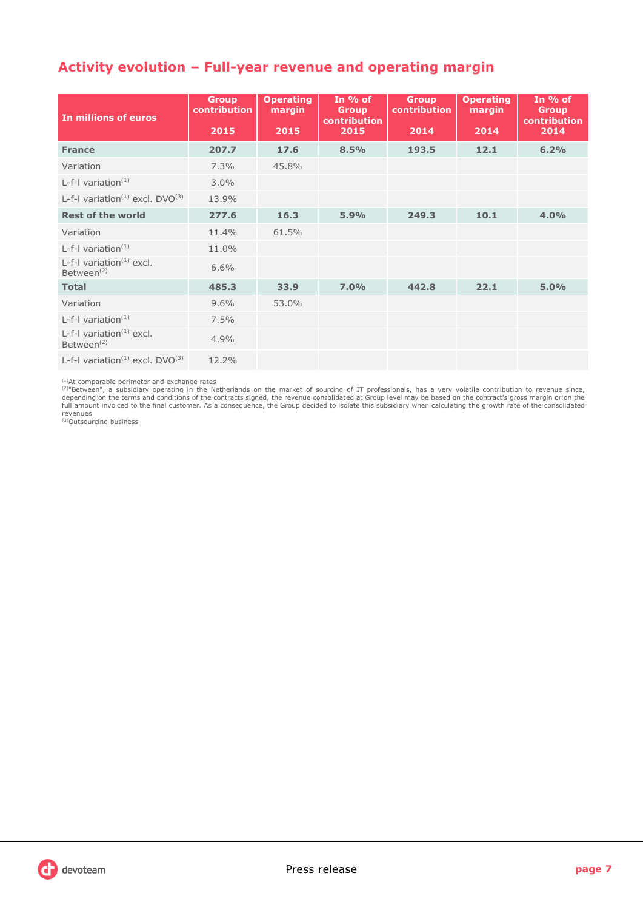# **Activity evolution – Full-year revenue and operating margin**

| In millions of euros                                  | <b>Group</b><br>contribution<br>2015 | <b>Operating</b><br>margin<br>2015 | In $%$ of<br><b>Group</b><br><b>contribution</b><br>2015 | <b>Group</b><br><b>contribution</b><br>2014 | <b>Operating</b><br>margin<br>2014 | In $%$ of<br><b>Group</b><br>contribution<br>2014 |
|-------------------------------------------------------|--------------------------------------|------------------------------------|----------------------------------------------------------|---------------------------------------------|------------------------------------|---------------------------------------------------|
| <b>France</b>                                         | 207.7                                | 17.6                               | 8.5%                                                     | 193.5                                       | 12.1                               | 6.2%                                              |
| Variation                                             | 7.3%                                 | 45.8%                              |                                                          |                                             |                                    |                                                   |
| L-f-I variation $(1)$                                 | 3.0%                                 |                                    |                                                          |                                             |                                    |                                                   |
| L-f-I variation <sup>(1)</sup> excl. $DVO^{(3)}$      | 13.9%                                |                                    |                                                          |                                             |                                    |                                                   |
| <b>Rest of the world</b>                              | 277.6                                | 16.3                               | 5.9%                                                     | 249.3                                       | 10.1                               | 4.0%                                              |
| Variation                                             | 11.4%                                | 61.5%                              |                                                          |                                             |                                    |                                                   |
| L-f-I variation $(1)$                                 | 11.0%                                |                                    |                                                          |                                             |                                    |                                                   |
| L-f-I variation $(1)$ excl.<br>Between <sup>(2)</sup> | 6.6%                                 |                                    |                                                          |                                             |                                    |                                                   |
| <b>Total</b>                                          | 485.3                                | 33.9                               | 7.0%                                                     | 442.8                                       | 22.1                               | 5.0%                                              |
| Variation                                             | 9.6%                                 | 53.0%                              |                                                          |                                             |                                    |                                                   |
| L-f-I variation $(1)$                                 | 7.5%                                 |                                    |                                                          |                                             |                                    |                                                   |
| L-f-I variation $(1)$ excl.<br>Between <sup>(2)</sup> | 4.9%                                 |                                    |                                                          |                                             |                                    |                                                   |
| L-f-I variation <sup>(1)</sup> excl. $DVO^{(3)}$      | 12.2%                                |                                    |                                                          |                                             |                                    |                                                   |

<sup>(1)</sup>At comparable perimeter and exchange rates<br><sup>(2)</sup>"Between", a subsidiary operating in the Netherlands on the market of sourcing of IT professionals, has a very volatile contribution to revenue since,<br>depending on the t revenues (3)Outsourcing business

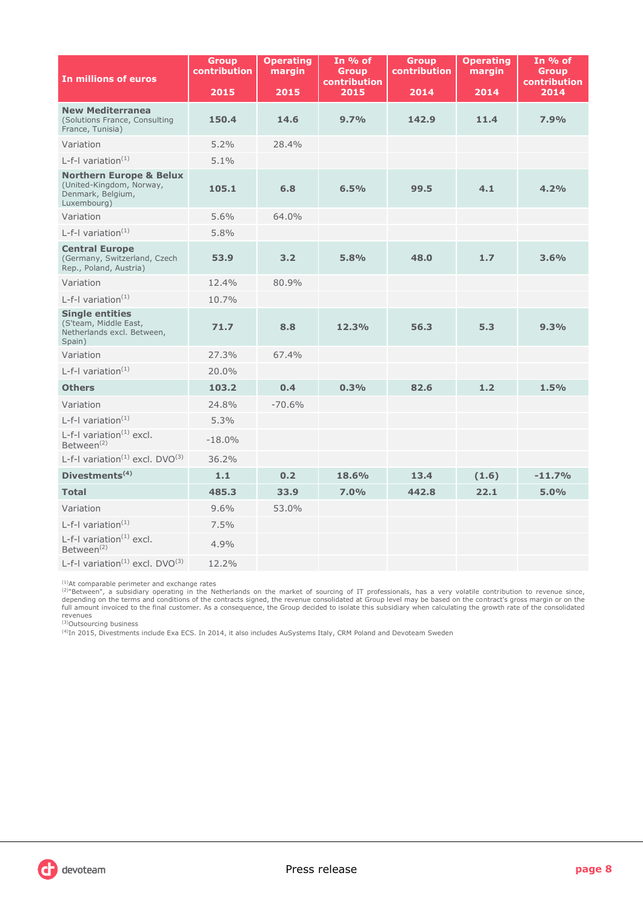| In millions of euros                                                                               | <b>Group</b><br><b>contribution</b> | <b>Operating</b><br>margin | In % of<br><b>Group</b><br>contribution | <b>Group</b><br><b>contribution</b> | <b>Operating</b><br>margin | In % of<br><b>Group</b><br>contribution |
|----------------------------------------------------------------------------------------------------|-------------------------------------|----------------------------|-----------------------------------------|-------------------------------------|----------------------------|-----------------------------------------|
|                                                                                                    | 2015                                | 2015                       | 2015                                    | 2014                                | 2014                       | 2014                                    |
| <b>New Mediterranea</b><br>(Solutions France, Consulting<br>France, Tunisia)                       | 150.4                               | 14.6                       | 9.7%                                    | 142.9                               | 11.4                       | 7.9%                                    |
| Variation                                                                                          | 5.2%                                | 28.4%                      |                                         |                                     |                            |                                         |
| L-f-I variation $(1)$                                                                              | 5.1%                                |                            |                                         |                                     |                            |                                         |
| <b>Northern Europe &amp; Belux</b><br>(United-Kingdom, Norway,<br>Denmark, Belgium,<br>Luxembourg) | 105.1                               | 6.8                        | 6.5%                                    | 99.5                                | 4.1                        | 4.2%                                    |
| Variation                                                                                          | 5.6%                                | 64.0%                      |                                         |                                     |                            |                                         |
| L-f-I variation $(1)$                                                                              | 5.8%                                |                            |                                         |                                     |                            |                                         |
| <b>Central Europe</b><br>(Germany, Switzerland, Czech<br>Rep., Poland, Austria)                    | 53.9                                | 3.2                        | 5.8%                                    | 48.0                                | 1.7                        | 3.6%                                    |
| Variation                                                                                          | 12.4%                               | 80.9%                      |                                         |                                     |                            |                                         |
| L-f-I variation $(1)$                                                                              | 10.7%                               |                            |                                         |                                     |                            |                                         |
| <b>Single entities</b><br>(S'team, Middle East,<br>Netherlands excl. Between,<br>Spain)            | 71.7                                | 8.8                        | 12.3%                                   | 56.3                                | 5.3                        | 9.3%                                    |
| Variation                                                                                          | 27.3%                               | 67.4%                      |                                         |                                     |                            |                                         |
| L-f-I variation $(1)$                                                                              | 20.0%                               |                            |                                         |                                     |                            |                                         |
| <b>Others</b>                                                                                      | 103.2                               | 0.4                        | 0.3%                                    | 82.6                                | 1.2                        | 1.5%                                    |
| Variation                                                                                          | 24.8%                               | $-70.6%$                   |                                         |                                     |                            |                                         |
| L-f-I variation $(1)$                                                                              | 5.3%                                |                            |                                         |                                     |                            |                                         |
| L-f-I variation $(1)$ excl.<br>Between <sup>(2)</sup>                                              | $-18.0%$                            |                            |                                         |                                     |                            |                                         |
| L-f-I variation <sup>(1)</sup> excl. $DVO^{(3)}$                                                   | 36.2%                               |                            |                                         |                                     |                            |                                         |
| Divestments <sup>(4)</sup>                                                                         | 1.1                                 | 0.2                        | 18.6%                                   | 13.4                                | (1.6)                      | $-11.7%$                                |
| <b>Total</b>                                                                                       | 485.3                               | 33.9                       | 7.0%                                    | 442.8                               | 22.1                       | 5.0%                                    |
| Variation                                                                                          | 9.6%                                | 53.0%                      |                                         |                                     |                            |                                         |
| L-f-I variation <sup>(1)</sup>                                                                     | 7.5%                                |                            |                                         |                                     |                            |                                         |
| L-f-I variation $^{(1)}$ excl.<br>Between <sup>(2)</sup>                                           | 4.9%                                |                            |                                         |                                     |                            |                                         |
| L-f-I variation <sup><math>(1)</math></sup> excl. DVO $^{(3)}$                                     | 12.2%                               |                            |                                         |                                     |                            |                                         |

<sup>(1)</sup>At comparable perimeter and exchange rates<br><sup>(2)</sup>"Between", a subsidiary operating in the Netherlands on the market of sourcing of IT professionals, has a very volatile contribution to revenue since,<br>depending on the t

revenues (3)Outsourcing business

(4)In 2015, Divestments include Exa ECS. In 2014, it also includes AuSystems Italy, CRM Poland and Devoteam Sweden

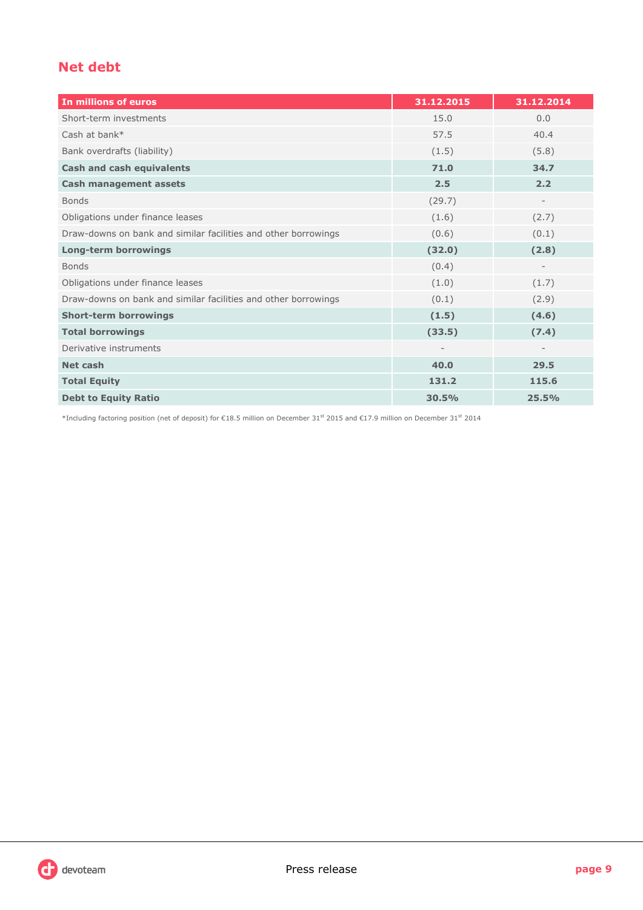# **Net debt**

| In millions of euros                                           | 31.12.2015 | 31.12.2014 |
|----------------------------------------------------------------|------------|------------|
| Short-term investments                                         | 15.0       | 0.0        |
| Cash at bank*                                                  | 57.5       | 40.4       |
| Bank overdrafts (liability)                                    | (1.5)      | (5.8)      |
| <b>Cash and cash equivalents</b>                               | 71.0       | 34.7       |
| <b>Cash management assets</b>                                  | 2.5        | 2.2        |
| <b>Bonds</b>                                                   | (29.7)     |            |
| Obligations under finance leases                               | (1.6)      | (2.7)      |
| Draw-downs on bank and similar facilities and other borrowings | (0.6)      | (0.1)      |
| <b>Long-term borrowings</b>                                    | (32.0)     | (2.8)      |
| <b>Bonds</b>                                                   | (0.4)      |            |
| Obligations under finance leases                               | (1.0)      | (1.7)      |
| Draw-downs on bank and similar facilities and other borrowings | (0.1)      | (2.9)      |
| <b>Short-term borrowings</b>                                   | (1.5)      | (4.6)      |
| <b>Total borrowings</b>                                        | (33.5)     | (7.4)      |
| Derivative instruments                                         |            |            |
| <b>Net cash</b>                                                | 40.0       | 29.5       |
| <b>Total Equity</b>                                            | 131.2      | 115.6      |
| <b>Debt to Equity Ratio</b>                                    | 30.5%      | 25.5%      |

\*Including factoring position (net of deposit) for €18.5 million on December 31st 2015 and €17.9 million on December 31st 2014

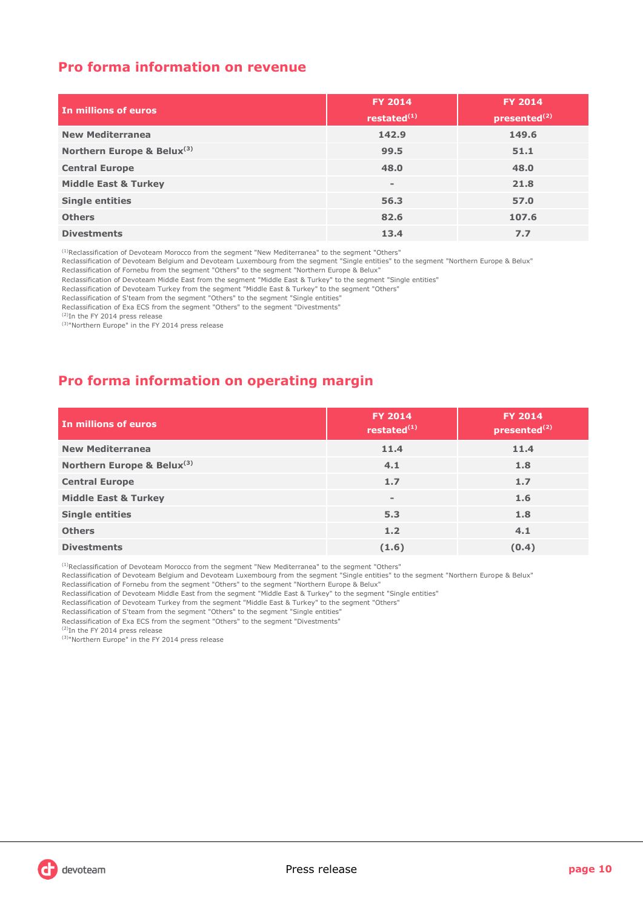# **Pro forma information on revenue**

| In millions of euros            | <b>FY 2014</b><br>restated $(1)$ | <b>FY 2014</b><br>presented <sup>(2)</sup> |
|---------------------------------|----------------------------------|--------------------------------------------|
| <b>New Mediterranea</b>         | 142.9                            | 149.6                                      |
| Northern Europe & Belux(3)      | 99.5                             | 51.1                                       |
| <b>Central Europe</b>           | 48.0                             | 48.0                                       |
| <b>Middle East &amp; Turkey</b> | $\overline{\phantom{a}}$         | 21.8                                       |
| <b>Single entities</b>          | 56.3                             | 57.0                                       |
| <b>Others</b>                   | 82.6                             | 107.6                                      |
| <b>Divestments</b>              | 13.4                             | 7.7                                        |

<sup>(1)</sup>Reclassification of Devoteam Morocco from the segment "New Mediterranea" to the segment "Others"

Reclassification of Devoteam Belgium and Devoteam Luxembourg from the segment "Single entities" to the segment "Northern Europe & Belux"

Reclassification of Fornebu from the segment "Others" to the segment "Northern Europe & Belux"

Reclassification of Devoteam Middle East from the segment "Middle East & Turkey" to the segment "Single entities"

Reclassification of Devoteam Turkey from the segment "Middle East & Turkey" to the segment "Others"

Reclassification of S'team from the segment "Others" to the segment "Single entities"

Reclassification of Exa ECS from the segment "Others" to the segment "Divestments"

(2)In the FY 2014 press release

<sup>(3)</sup>"Northern Europe" in the FY 2014 press release

# **Pro forma information on operating margin**

| In millions of euros            | <b>FY 2014</b><br>restated $(1)$ | <b>FY 2014</b><br>presented <sup>(2)</sup> |
|---------------------------------|----------------------------------|--------------------------------------------|
| <b>New Mediterranea</b>         | 11.4                             | 11.4                                       |
| Northern Europe & Belux(3)      | 4.1                              | 1.8                                        |
| <b>Central Europe</b>           | 1.7                              | 1.7                                        |
| <b>Middle East &amp; Turkey</b> | $\overline{\phantom{0}}$         | 1.6                                        |
| <b>Single entities</b>          | 5.3                              | 1.8                                        |
| <b>Others</b>                   | 1.2                              | 4.1                                        |
| <b>Divestments</b>              | (1.6)                            | (0.4)                                      |

<sup>(1)</sup>Reclassification of Devoteam Morocco from the segment "New Mediterranea" to the segment "Others"

Reclassification of Devoteam Belgium and Devoteam Luxembourg from the segment "Single entities" to the segment "Northern Europe & Belux" Reclassification of Fornebu from the segment "Others" to the segment "Northern Europe & Belux"

Reclassification of Devoteam Middle East from the segment "Middle East & Turkey" to the segment "Single entities"

Reclassification of Devoteam Turkey from the segment "Middle East & Turkey" to the segment "Others"

Reclassification of S'team from the segment "Others" to the segment "Single entities"

Reclassification of Exa ECS from the segment "Others" to the segment "Divestments"

(2)In the FY 2014 press release

<sup>(3)</sup>"Northern Europe" in the FY 2014 press release